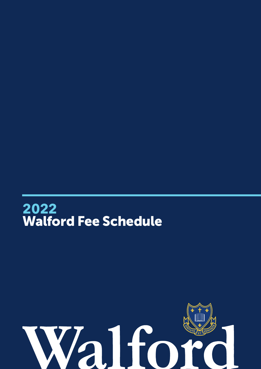

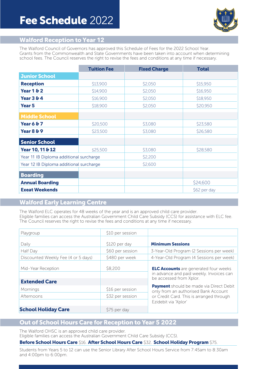

## Walford Reception to Year **12**

The Walford Council of Governors has approved this Schedule of Fees for the 2022 School Year. Grants from the Commonwealth and State Governments have been taken into account when determining school fees. The Council reserves the right to revise the fees and conditions at any time if necessary.

|                                         | <b>Tuition Fee</b> | <b>Fixed Charge</b> | <b>Total</b> |
|-----------------------------------------|--------------------|---------------------|--------------|
| <b>Junior School</b>                    |                    |                     |              |
| <b>Reception</b>                        | \$13,900           | \$2,050             | \$15,950     |
| <b>Year 1 &amp; 2</b>                   | \$14,900           | \$2,050             | \$16,950     |
| <b>Year 3 &amp; 4</b>                   | \$16,900           | \$2,050             | \$18,950     |
| <b>Year 5</b>                           | \$18,900           | \$2,050             | \$20,950     |
| <b>Middle School</b>                    |                    |                     |              |
| <b>Year 6 &amp; 7</b>                   | \$20,500           | \$3,080             | \$23,580     |
| <b>Year 8 &amp; 9</b>                   | \$23,500           | \$3,080             | \$26,580     |
| <b>Senior School</b>                    |                    |                     |              |
| Year 10, 11 & 12                        | \$25,500           | \$3,080             | \$28,580     |
| Year 11 IB Diploma additional surcharge |                    | \$2,200             |              |
| Year 12 IB Diploma additional surcharge |                    | \$2,600             |              |
| <b>Boarding</b>                         |                    |                     |              |
| <b>Annual Boarding</b>                  |                    |                     | \$24,600     |
| <b>Exeat Weekends</b>                   |                    |                     | \$62 per day |

# Walford Early Learning Centre

The Walford ELC operates for 48 weeks of the year and is an approved child care provider. Eligible families can access the Australian Government Child Care Subsidy (CCS) for assistance with ELC fee. The Council reserves the right to revise the fees and conditions at any time if necessary.

| Playgroup                                  | \$10 per session                  |                                                                                                                                    |  |
|--------------------------------------------|-----------------------------------|------------------------------------------------------------------------------------------------------------------------------------|--|
| Daily<br>Half Day                          | \$120 per day<br>\$60 per session | <b>Minimum Sessions</b><br>3-Year-Old Program (2 Sessions per week)                                                                |  |
| Discounted Weekly Fee (4 or 5 days)        | \$480 per week                    | 4-Year-Old Program (4 Sessions per week)                                                                                           |  |
| Mid-Year Reception<br><b>Extended Care</b> | \$8,200                           | <b>ELC Accounts</b> are generated four weeks<br>in advance and paid weekly. Invoices can<br>be accessed from Xplor.                |  |
| Mornings                                   | \$16 per session                  | <b>Payment</b> should be made via Direct Debit<br>only from an authorised Bank Account<br>or Credit Card. This is arranged through |  |
| Afternoons                                 | \$32 per session                  |                                                                                                                                    |  |
|                                            |                                   | Ezidebit via 'Xplor'                                                                                                               |  |
| <b>School Holiday Care</b>                 | \$75 per day                      |                                                                                                                                    |  |

# Out of School Hours Care for Reception to Year **5 2022**

The Walford OHSC is an approved child care provider. Eligible families can access the Australian Government Child Care Subsidy (CCS).

### Before School Hours Care \$16. After School Hours Care \$32. School Holiday Program \$75.

Students from Years 5 to 12 can use the Senior Library After School Hours Service from 7:45am to 8:30am and 4:00pm to 6:00pm.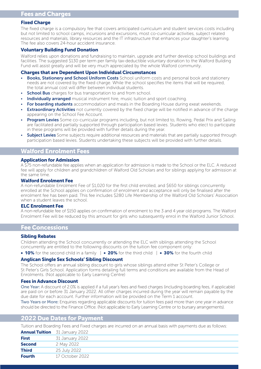#### Fixed Charge

The fixed charge is a compulsory fee that covers anticipated curriculum and student services costs including but not limited to school camps, incursions and excursions, most co-curricular activities, subject related resources and materials, library resources and the IT infrastructure that enhances your daughter's learning. The fee also covers 24-hour accident insurance.

#### Voluntary Building Fund Donation

Walford relies upon donations and fundraising to maintain, upgrade and further develop school buildings and facilities. The suggested \$130 per term per family tax-deductible voluntary donation to the Walford Building Fund will assist greatly and will be very much appreciated by the whole Walford community.

#### Charges that are Dependent Upon Individual Circumstances

- **Books, Stationery and School Uniform Costs** School uniform costs and personal book and stationery needs are not covered by the fixed charge. While the school specifies the items that will be required, the total annual cost will differ between individual students.
- **School Bus** charges for bus transportation to and from school.
- **Individually arranged** musical instrument hire, music tuition and sport coaching.
- For boarding students accommodation and meals in the Boarding House during exeat weekends.
- **Extraordinary Activities** not currently covered by the fixed charge will be notified in advance of the charge appearing on the School Fee Account.
- **Program Levies** Some co-curricular programs including, but not limited to, Rowing, Pedal Prix and Sailing are facilitated and partially supported through participation based levies. Students who elect to participate in these programs will be provided with further details during the year.
- **Subject Levies** Some subjects require additional resources and materials that are partially supported through participation based levies. Students undertaking these subjects will be provided with further details.

## Walford Enrolment Fees

#### Application for Admission

A \$75 non-refundable fee applies when an application for admission is made to the School or the ELC. A reduced fee will apply for children and grandchildren of Walford Old Scholars and for siblings applying for admission at the same time.

#### Walford Enrolment Fee

A non-refundable Enrolment Fee of \$1,020 for the first child enrolled, and \$650 for siblings concurrently enrolled at the School applies on confirmation of enrolment and acceptance will only be finalised after the enrolment fee has been paid. This fee includes \$280 Life Membership of the Walford Old Scholars' Association when a student leaves the school.

#### ELC Enrolment Fee

A non-refundable fee of \$150 applies on confirmation of enrolment to the 3 and 4 year old programs. The Walford Enrolment Fee will be reduced by this amount for girls who subsequently enrol in the Walford Junior School.

## Fee Concessions

#### Sibling Rebates

Children attending the School concurrently or attending the ELC with siblings attending the School concurrently are entitled to the following discounts on the tuition fee component only:

• **10%** for the second child in a family | • **20%** for the third child | • **30%** for the fourth child

#### Anglican Single Sex Schools' Sibling Discount

The School offers an annual sibling discount to girls whose siblings attend either St Peter's College or St Peter's Girls School. Application forms detailing full terms and conditions are available from the Head of Enrolments. (Not applicable to Early Learning Centre)

#### Fees in Advance Discount

One Year: A discount of 2.0% is applied if a full year's fees and fixed charges (including boarding fees, if applicable) are paid on or before 31 January 2022. All other charges incurred during the year will remain payable by the due date for each account. Further information will be provided on the Term 1 account.

Two Years or More: Enquiries regarding applicable discounts for tuition fees paid more than one year in advance should be directed to the Finance Office. (Not applicable to Early Learning Centre or to bursary arrangements).

## **2022** Due Dates for Payment

Tuition and Boarding Fees and Fixed charges are incurred on an annual basis with payments due as follows:

|               | <b>Annual Tuition</b> 31 January 2022 |
|---------------|---------------------------------------|
| <b>First</b>  | 31 January 2022                       |
| <b>Second</b> | 2 May 2022                            |
| <b>Third</b>  | 25 July 2022                          |
| <b>Fourth</b> | 17 October 2022                       |